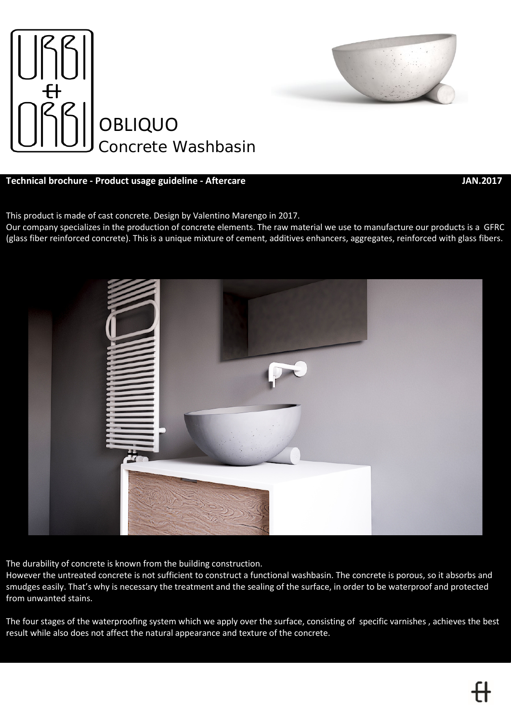

# **Technical brochure - Product usage guideline - Aftercare JAN.2017**



This product is made of cast concrete. Design by Valentino Marengo in 2017.

Our company specializes in the production of concrete elements. The raw material we use to manufacture our products is a GFRC (glass fiber reinforced concrete). This is a unique mixture of cement, additives enhancers, aggregates, reinforced with glass fibers.



The durability of concrete is known from the building construction.

However the untreated concrete is not sufficient to construct a functional washbasin. The concrete is porous, so it absorbs and smudges easily. That's why is necessary the treatment and the sealing of the surface, in order to be waterproof and protected from unwanted stains.

The four stages of the waterproofing system which we apply over the surface, consisting of specific varnishes , achieves the best result while also does not affect the natural appearance and texture of the concrete.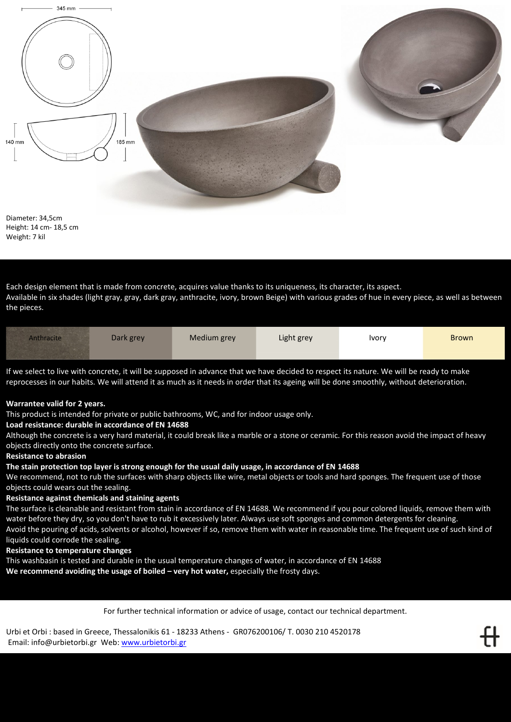

Diameter: 34,5cm Height: 14 cm- 18,5 cm Weight: 7 kil

Each design element that is made from concrete, acquires value thanks to its uniqueness, its character, its aspect. Available in six shades (light gray, gray, dark gray, anthracite, ivory, brown Beige) with various grades of hue in every piece, as well as between the pieces.

| Medium grey<br>Light grey<br><b>Anthracite</b><br>Dark grey<br><b>Ivory</b> | <b>Brown</b> |
|-----------------------------------------------------------------------------|--------------|
|-----------------------------------------------------------------------------|--------------|

If we select to live with concrete, it will be supposed in advance that we have decided to respect its nature. We will be ready to make reprocesses in our habits. We will attend it as much as it needs in order that its ageing will be done smoothly, without deterioration.

## **Warrantee valid for 2 years.**

This product is intended for private or public bathrooms, WC, and for indoor usage only.

## **Load resistance: durable in accordance of EN 14688**

Although the concrete is a very hard material, it could break like a marble or a stone or ceramic. For this reason avoid the impact of heavy objects directly onto the concrete surface.

## **Resistance to abrasion**

## **The stain protection top layer is strong enough for the usual daily usage, in accordance of EN 14688**

We recommend, not to rub the surfaces with sharp objects like wire, metal objects or tools and hard sponges. The frequent use of those objects could wears out the sealing.

## **Resistance against chemicals and staining agents**

The surface is cleanable and resistant from stain in accordance of EN 14688. We recommend if you pour colored liquids, remove them with water before they dry, so you don't have to rub it excessively later. Always use soft sponges and common detergents for cleaning. Avoid the pouring of acids, solvents or alcohol, however if so, remove them with water in reasonable time. The frequent use of such kind of liquids could corrode the sealing.

### **Resistance to temperature changes**

This washbasin is tested and durable in the usual temperature changes of water, in accordance of EN 14688

**We recommend avoiding the usage of boiled – very hot water,** especially the frosty days.

For further technical information or advice of usage, contact our technical department.